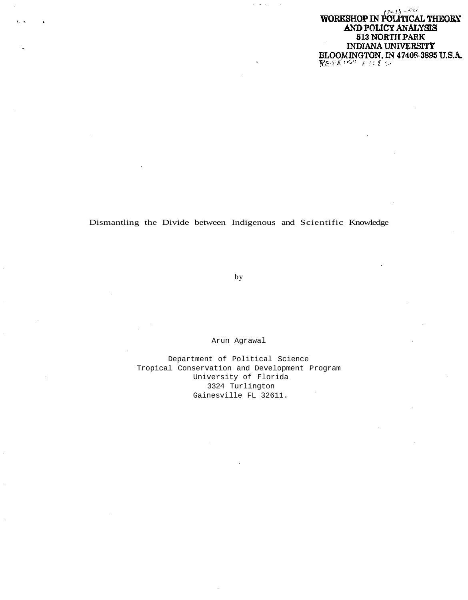$12 - 18 - 14$ WORKSHOP IN POLITICAL THEORY AND POLICY ANALYSIS 513 NORTH PARK INDIANA UNIVERSITY BLOOMINGTON, IN 47408-3895 U.S.A. REFRIGHT FILTS

Dismantling the Divide between Indigenous and Scientific Knowledge

by

Arun Agrawal

Department of Political Science Tropical Conservation and Development Program University of Florida 3324 Turlington Gainesville FL 32611.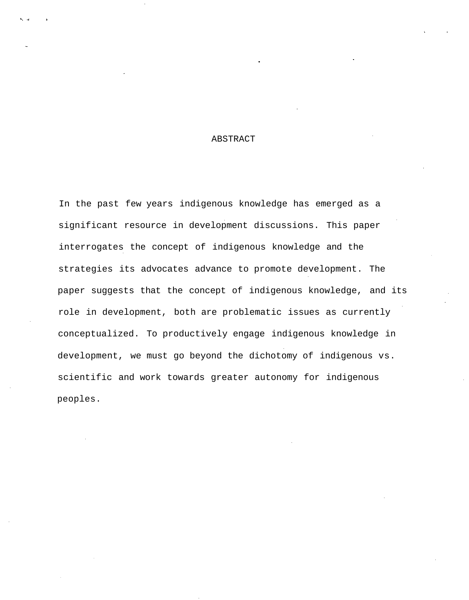# ABSTRACT

In the past few years indigenous knowledge has emerged as a significant resource in development discussions. This paper interrogates the concept of indigenous knowledge and the strategies its advocates advance to promote development. The paper suggests that the concept of indigenous knowledge, and its role in development, both are problematic issues as currently conceptualized. To productively engage indigenous knowledge in development, we must go beyond the dichotomy of indigenous vs. scientific and work towards greater autonomy for indigenous peoples.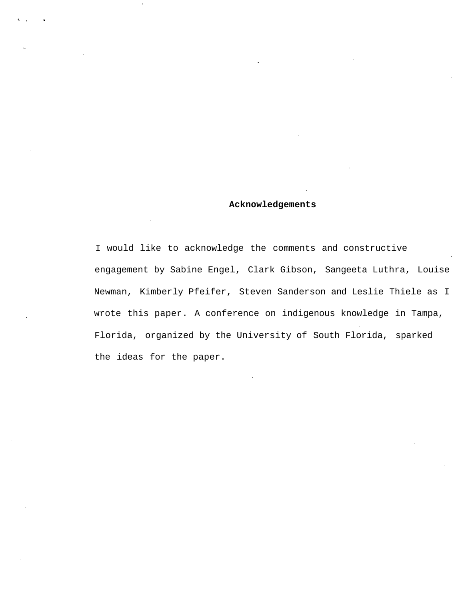# **Acknowledgements**

I would like to acknowledge the comments and constructive engagement by Sabine Engel, Clark Gibson, Sangeeta Luthra, Louise Newman, Kimberly Pfeifer, Steven Sanderson and Leslie Thiele as I wrote this paper. A conference on indigenous knowledge in Tampa, Florida, organized by the University of South Florida, sparked the ideas for the paper.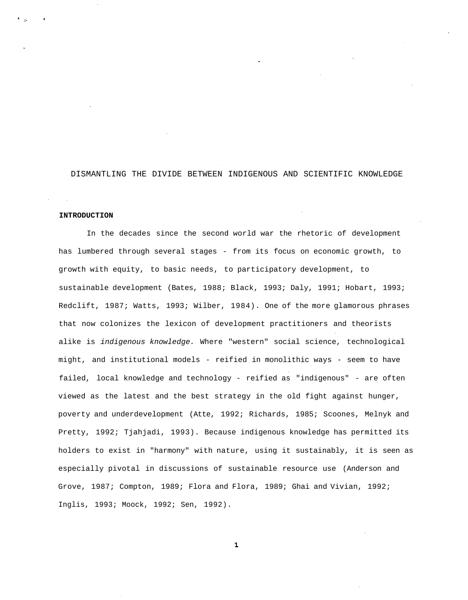# DISMANTLING THE DIVIDE BETWEEN INDIGENOUS AND SCIENTIFIC KNOWLEDGE

### **INTRODUCTION**

In the decades since the second world war the rhetoric of development has lumbered through several stages - from its focus on economic growth, to growth with equity, to basic needs, to participatory development, to sustainable development (Bates, 1988; Black, 1993; Daly, 1991; Hobart, 1993; Redclift, 1987; Watts, 1993; Wilber, 1984). One of the more glamorous phrases that now colonizes the lexicon of development practitioners and theorists alike is indigenous knowledge. Where "western" social science, technological might, and institutional models - reified in monolithic ways - seem to have failed, local knowledge and technology - reified as "indigenous" - are often viewed as the latest and the best strategy in the old fight against hunger, poverty and underdevelopment (Atte, 1992; Richards, 1985; Scoones, Melnyk and Pretty, 1992; Tjahjadi, 1993). Because indigenous knowledge has permitted its holders to exist in "harmony" with nature, using it sustainably, it is seen as especially pivotal in discussions of sustainable resource use (Anderson and Grove, 1987; Compton, 1989; Flora and Flora, 1989; Ghai and Vivian, 1992; Inglis, 1993; Moock, 1992; Sen, 1992).

 $\mathbf{1}$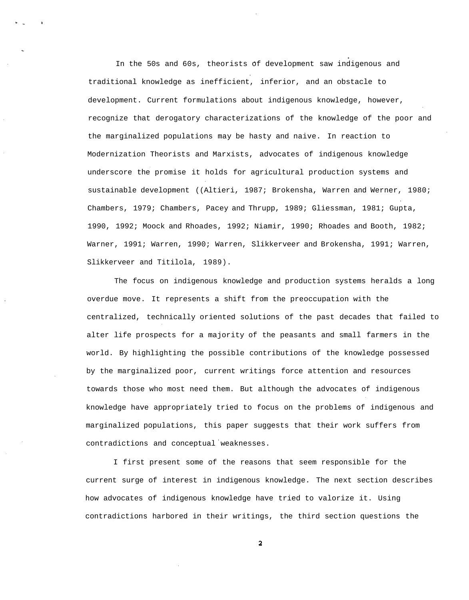In the 50s and 60s, theorists of development saw indigenous and traditional knowledge as inefficient, inferior, and an obstacle to development. Current formulations about indigenous knowledge, however, recognize that derogatory characterizations of the knowledge of the poor and the marginalized populations may be hasty and naive. In reaction to Modernization Theorists and Marxists, advocates of indigenous knowledge underscore the promise it holds for agricultural production systems and sustainable development ((Altieri, 1987; Brokensha, Warren and Werner, 1980; Chambers, 1979; Chambers, Pacey and Thrupp, 1989; Gliessman, 1981; Gupta, 1990, 1992; Moock and Rhoades, 1992; Niamir, 1990; Rhoades and Booth, 1982; Warner, 1991; Warren, 1990; Warren, Slikkerveer and Brokensha, 1991; Warren, Slikkerveer and Titilola, 1989).

The focus on indigenous knowledge and production systems heralds a long overdue move. It represents a shift from the preoccupation with the centralized, technically oriented solutions of the past decades that failed to alter life prospects for a majority of the peasants and small farmers in the world. By highlighting the possible contributions of the knowledge possessed by the marginalized poor, current writings force attention and resources towards those who most need them. But although the advocates of indigenous knowledge have appropriately tried to focus on the problems of indigenous and marginalized populations, this paper suggests that their work suffers from contradictions and conceptual weaknesses.

I first present some of the reasons that seem responsible for the current surge of interest in indigenous knowledge. The next section describes how advocates of indigenous knowledge have tried to valorize it. Using contradictions harbored in their writings, the third section questions the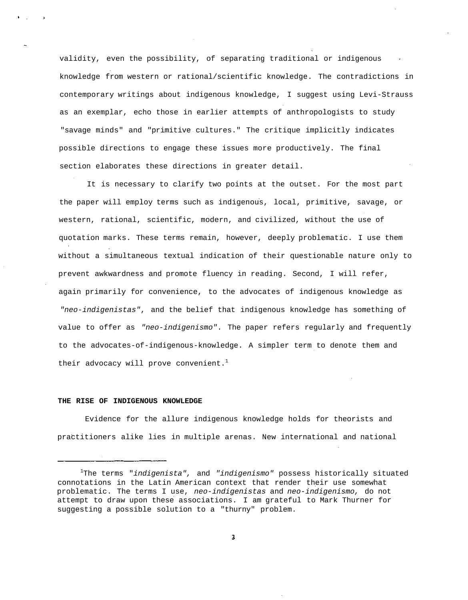validity, even the possibility, of separating traditional or indigenous knowledge from western or rational/scientific knowledge. The contradictions in contemporary writings about indigenous knowledge, I suggest using Levi-Strauss as an exemplar, echo those in earlier attempts of anthropologists to study "savage minds" and "primitive cultures." The critique implicitly indicates possible directions to engage these issues more productively. The final section elaborates these directions in greater detail.

It is necessary to clarify two points at the outset. For the most part the paper will employ terms such as indigenous, local, primitive, savage, or western, rational, scientific, modern, and civilized, without the use of quotation marks. These terms remain, however, deeply problematic. I use them without a simultaneous textual indication of their questionable nature only to prevent awkwardness and promote fluency in reading. Second, I will refer, again primarily for convenience, to the advocates of indigenous knowledge as "neo-indigenistas", and the belief that indigenous knowledge has something of value to offer as "neo-indigenismo". The paper refers regularly and frequently to the advocates-of-indigenous-knowledge. A simpler term to denote them and their advocacy will prove convenient.<sup>1</sup>

#### **THE RISE OF INDIGENOUS KNOWLEDGE**

Evidence for the allure indigenous knowledge holds for theorists and practitioners alike lies in multiple arenas. New international and national

<sup>&</sup>lt;sup>1</sup>The terms "indigenista", and "indigenismo" possess historically situated connotations in the Latin American context that render their use somewhat problematic. The terms I use, neo-indigenistas and neo-indigenismo, do not attempt to draw upon these associations. I am grateful to Mark Thurner for suggesting a possible solution to a "thurny" problem.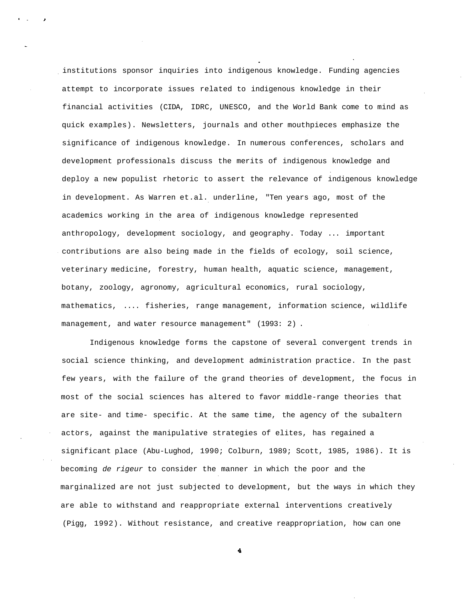institutions sponsor inquiries into indigenous knowledge. Funding agencies attempt to incorporate issues related to indigenous knowledge in their financial activities (CIDA, IDRC, UNESCO, and the World Bank come to mind as quick examples). Newsletters, journals and other mouthpieces emphasize the significance of indigenous knowledge. In numerous conferences, scholars and development professionals discuss the merits of indigenous knowledge and deploy a new populist rhetoric to assert the relevance of indigenous knowledge in development. As Warren et.al. underline, "Ten years ago, most of the academics working in the area of indigenous knowledge represented anthropology, development sociology, and geography. Today ... important contributions are also being made in the fields of ecology, soil science, veterinary medicine, forestry, human health, aquatic science, management, botany, zoology, agronomy, agricultural economics, rural sociology, mathematics, .... fisheries, range management, information science, wildlife management, and water resource management" (1993: 2) .

Indigenous knowledge forms the capstone of several convergent trends in social science thinking, and development administration practice. In the past few years, with the failure of the grand theories of development, the focus in most of the social sciences has altered to favor middle-range theories that are site- and time- specific. At the same time, the agency of the subaltern actors, against the manipulative strategies of elites, has regained a significant place (Abu-Lughod, 1990; Colburn, 1989; Scott, 1985, 1986). It is becoming de rigeur to consider the manner in which the poor and the marginalized are not just subjected to development, but the ways in which they are able to withstand and reappropriate external interventions creatively (Pigg, 1992). Without resistance, and creative reappropriation, how can one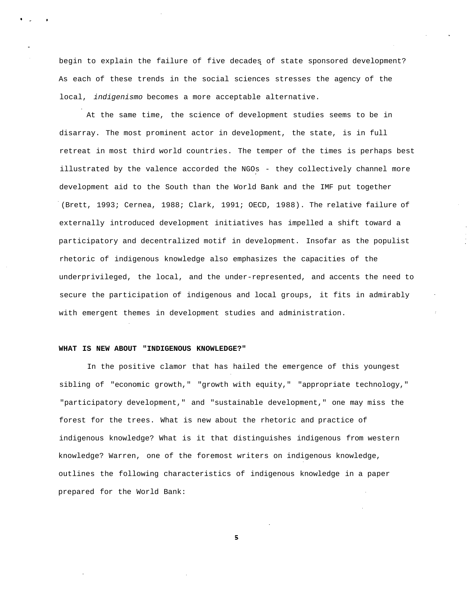begin to explain the failure of five decades of state sponsored development? As each of these trends in the social sciences stresses the agency of the local, indigenismo becomes a more acceptable alternative.

At the same time, the science of development studies seems to be in disarray. The most prominent actor in development, the state, is in full retreat in most third world countries. The temper of the times is perhaps best illustrated by the valence accorded the NGOs - they collectively channel more development aid to the South than the World Bank and the IMF put together (Brett, 1993; Cernea, 1988; Clark, 1991; OECD, 1988). The relative failure of externally introduced development initiatives has impelled a shift toward a participatory and decentralized motif in development. Insofar as the populist rhetoric of indigenous knowledge also emphasizes the capacities of the underprivileged, the local, and the under-represented, and accents the need to secure the participation of indigenous and local groups, it fits in admirably with emergent themes in development studies and administration.

# **WHAT IS NEW ABOUT "INDIGENOUS KNOWLEDGE?"**

In the positive clamor that has hailed the emergence of this youngest sibling of "economic growth," "growth with equity," "appropriate technology," "participatory development," and "sustainable development," one may miss the forest for the trees. What is new about the rhetoric and practice of indigenous knowledge? What is it that distinguishes indigenous from western knowledge? Warren, one of the foremost writers on indigenous knowledge, outlines the following characteristics of indigenous knowledge in a paper prepared for the World Bank: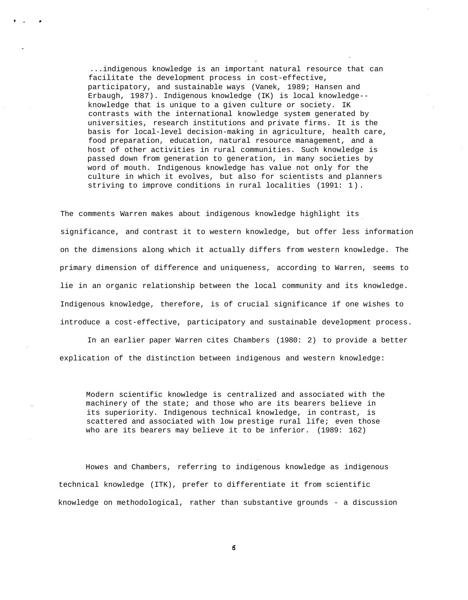...indigenous knowledge is an important natural resource that can facilitate the development process in cost-effective, participatory, and sustainable ways (Vanek, 1989; Hansen and Erbaugh, 1987). Indigenous knowledge (IK) is local knowledge- knowledge that is unique to a given culture or society. IK contrasts with the international knowledge system generated by universities, research institutions and private firms. It is the basis for local-level decision-making in agriculture, health care, food preparation, education, natural resource management, and a host of other activities in rural communities. Such knowledge is passed down from generation to generation, in many societies by word of mouth. Indigenous knowledge has value not only for the culture in which it evolves, but also for scientists and planners striving to improve conditions in rural localities (1991: 1).

The comments Warren makes about indigenous knowledge highlight its significance, and contrast it to western knowledge, but offer less information on the dimensions along which it actually differs from western knowledge. The primary dimension of difference and uniqueness, according to Warren, seems to lie in an organic relationship between the local community and its knowledge. Indigenous knowledge, therefore, is of crucial significance if one wishes to introduce a cost-effective, participatory and sustainable development process.

In an earlier paper Warren cites Chambers (1980: 2) to provide a better explication of the distinction between indigenous and western knowledge:

Modern scientific knowledge is centralized and associated with the machinery of the state; and those who are its bearers believe in its superiority. Indigenous technical knowledge, in contrast, is scattered and associated with low prestige rural life; even those who are its bearers may believe it to be inferior. (1989: 162)

Howes and Chambers, referring to indigenous knowledge as indigenous technical knowledge (ITK), prefer to differentiate it from scientific knowledge on methodological, rather than substantive grounds - a discussion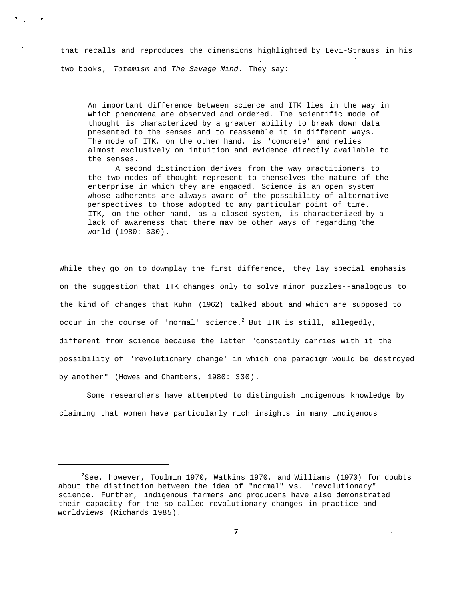that recalls and reproduces the dimensions highlighted by Levi-Strauss in his two books, Totemism and The Savage Mind. They say:

An important difference between science and ITK lies in the way in which phenomena are observed and ordered. The scientific mode of thought is characterized by a greater ability to break down data presented to the senses and to reassemble it in different ways. The mode of ITK, on the other hand, is 'concrete' and relies almost exclusively on intuition and evidence directly available to the senses.

A second distinction derives from the way practitioners to the two modes of thought represent to themselves the nature of the enterprise in which they are engaged. Science is an open system whose adherents are always aware of the possibility of alternative perspectives to those adopted to any particular point of time. ITK, on the other hand, as a closed system, is characterized by a lack of awareness that there may be other ways of regarding the world (1980: 330).

While they go on to downplay the first difference, they lay special emphasis on the suggestion that ITK changes only to solve minor puzzles--analogous to the kind of changes that Kuhn (1962) talked about and which are supposed to occur in the course of 'normal' science.<sup>2</sup> But ITK is still, allegedly, different from science because the latter "constantly carries with it the possibility of 'revolutionary change' in which one paradigm would be destroyed by another" (Howes and Chambers, 1980: 330).

Some researchers have attempted to distinguish indigenous knowledge by claiming that women have particularly rich insights in many indigenous

 $2$ See, however, Toulmin 1970, Watkins 1970, and Williams (1970) for doubts about the distinction between the idea of "normal" vs. "revolutionary" science. Further, indigenous farmers and producers have also demonstrated their capacity for the so-called revolutionary changes in practice and worldviews (Richards 1985).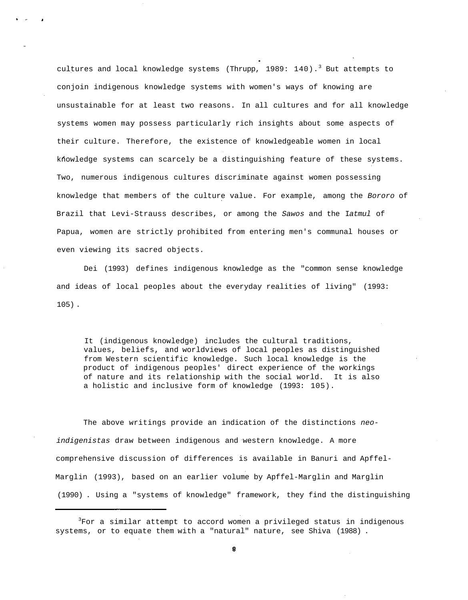cultures and local knowledge systems (Thrupp, 1989: 140).<sup>3</sup> But attempts to conjoin indigenous knowledge systems with women's ways of knowing are unsustainable for at least two reasons. In all cultures and for all knowledge systems women may possess particularly rich insights about some aspects of their culture. Therefore, the existence of knowledgeable women in local khowledge systems can scarcely be a distinguishing feature of these systems. Two, numerous indigenous cultures discriminate against women possessing knowledge that members of the culture value. For example, among the Bororo of Brazil that Levi-Strauss describes, or among the Sawos and the Iatmul of Papua, women are strictly prohibited from entering men's communal houses or even viewing its sacred objects.

Dei (1993) defines indigenous knowledge as the "common sense knowledge and ideas of local peoples about the everyday realities of living" (1993: 105) .

It (indigenous knowledge) includes the cultural traditions, values, beliefs, and worldviews of local peoples as distinguished from Western scientific knowledge. Such local knowledge is the product of indigenous peoples' direct experience of the workings of nature and its relationship with the social world. It is also a holistic and inclusive form of knowledge (1993: 105).

The above writings provide an indication of the distinctions neoindigenistas draw between indigenous and western knowledge. A more comprehensive discussion of differences is available in Banuri and Apffel-Marglin (1993), based on an earlier volume by Apffel-Marglin and Marglin (1990) . Using a "systems of knowledge" framework, they find the distinguishing

<sup>&</sup>lt;sup>3</sup>For a similar attempt to accord women a privileged status in indigenous systems, or to equate them with a "natural" nature, see Shiva (1988) .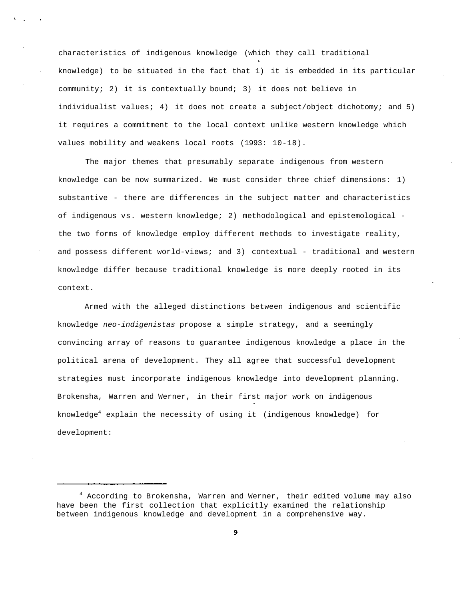characteristics of indigenous knowledge (which they call traditional knowledge) to be situated in the fact that 1) it is embedded in its particular community; 2) it is contextually bound; 3) it does not believe in individualist values; 4) it does not create a subject/object dichotomy; and 5) it requires a commitment to the local context unlike western knowledge which values mobility and weakens local roots (1993: 10-18).

The major themes that presumably separate indigenous from western knowledge can be now summarized. We must consider three chief dimensions: 1) substantive - there are differences in the subject matter and characteristics of indigenous vs. western knowledge; 2) methodological and epistemological the two forms of knowledge employ different methods to investigate reality, and possess different world-views; and 3) contextual - traditional and western knowledge differ because traditional knowledge is more deeply rooted in its context.

Armed with the alleged distinctions between indigenous and scientific knowledge neo-indigenistas propose a simple strategy, and a seemingly convincing array of reasons to guarantee indigenous knowledge a place in the political arena of development. They all agree that successful development strategies must incorporate indigenous knowledge into development planning. Brokensha, Warren and Werner, in their first major work on indigenous knowledge<sup>4</sup> explain the necessity of using it (indigenous knowledge) for development:

 $4$  According to Brokensha, Warren and Werner, their edited volume may also have been the first collection that explicitly examined the relationship between indigenous knowledge and development in a comprehensive way.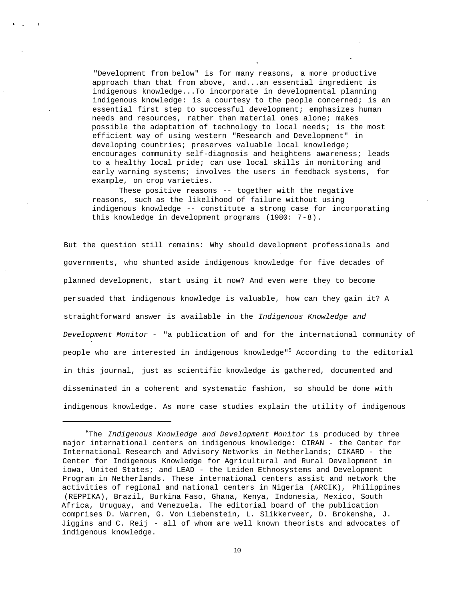"Development from below" is for many reasons, a more productive approach than that from above, and...an essential ingredient is indigenous knowledge...To incorporate in developmental planning indigenous knowledge: is a courtesy to the people concerned; is an essential first step to successful development; emphasizes human needs and resources, rather than material ones alone; makes possible the adaptation of technology to local needs; is the most efficient way of using western "Research and Development" in developing countries; preserves valuable local knowledge; encourages community self-diagnosis and heightens awareness; leads to a healthy local pride; can use local skills in monitoring and early warning systems; involves the users in feedback systems, for example, on crop varieties.

These positive reasons -- together with the negative reasons, such as the likelihood of failure without using indigenous knowledge -- constitute a strong case for incorporating this knowledge in development programs (1980: 7-8).

But the question still remains: Why should development professionals and governments, who shunted aside indigenous knowledge for five decades of planned development, start using it now? And even were they to become persuaded that indigenous knowledge is valuable, how can they gain it? A straightforward answer is available in the Indigenous Knowledge and Development Monitor - "a publication of and for the international community of people who are interested in indigenous knowledge"<sup>5</sup> According to the editorial in this journal, just as scientific knowledge is gathered, documented and disseminated in a coherent and systematic fashion, so should be done with indigenous knowledge. As more case studies explain the utility of indigenous

 $5$ The Indigenous Knowledge and Development Monitor is produced by three major international centers on indigenous knowledge: CIRAN - the Center for International Research and Advisory Networks in Netherlands; CIKARD - the Center for Indigenous Knowledge for Agricultural and Rural Development in iowa, United States; and LEAD - the Leiden Ethnosystems and Development Program in Netherlands. These international centers assist and network the activities of regional and national centers in Nigeria (ARCIK), Philippines (REPPIKA), Brazil, Burkina Faso, Ghana, Kenya, Indonesia, Mexico, South Africa, Uruguay, and Venezuela. The editorial board of the publication comprises D. Warren, G. Von Liebenstein, L. Slikkerveer, D. Brokensha, J. Jiggins and C. Reij - all of whom are well known theorists and advocates of indigenous knowledge.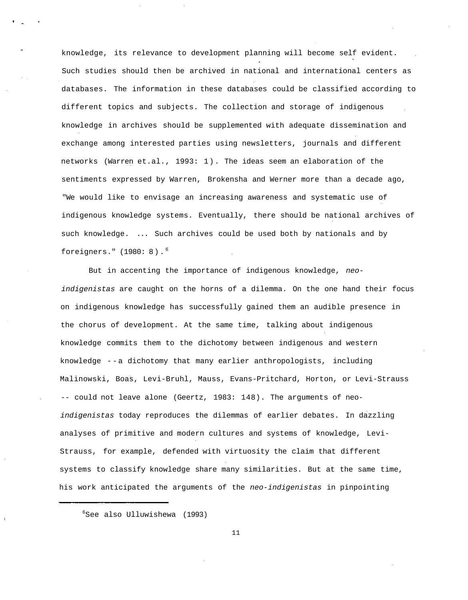knowledge, its relevance to development planning will become self evident. Such studies should then be archived in national and international centers as databases. The information in these databases could be classified according to different topics and subjects. The collection and storage of indigenous knowledge in archives should be supplemented with adequate dissemination and exchange among interested parties using newsletters, journals and different networks (Warren et.al., 1993: 1). The ideas seem an elaboration of the sentiments expressed by Warren, Brokensha and Werner more than a decade ago, "We would like to envisage an increasing awareness and systematic use of indigenous knowledge systems. Eventually, there should be national archives of such knowledge. ... Such archives could be used both by nationals and by foreigners." (1980: 8).<sup>6</sup>

But in accenting the importance of indigenous knowledge, neoindigenistas are caught on the horns of a dilemma. On the one hand their focus on indigenous knowledge has successfully gained them an audible presence in the chorus of development. At the same time, talking about indigenous knowledge commits them to the dichotomy between indigenous and western knowledge -- a dichotomy that many earlier anthropologists, including Malinowski, Boas, Levi-Bruhl, Mauss, Evans-Pritchard, Horton, or Levi-Strauss -- could not leave alone (Geertz, 1983: 148). The arguments of neoindigenistas today reproduces the dilemmas of earlier debates. In dazzling analyses of primitive and modern cultures and systems of knowledge, Levi-Strauss, for example, defended with virtuosity the claim that different systems to classify knowledge share many similarities. But at the same time, his work anticipated the arguments of the neo-indigenistas in pinpointing

 $6$ See also Ulluwishewa (1993)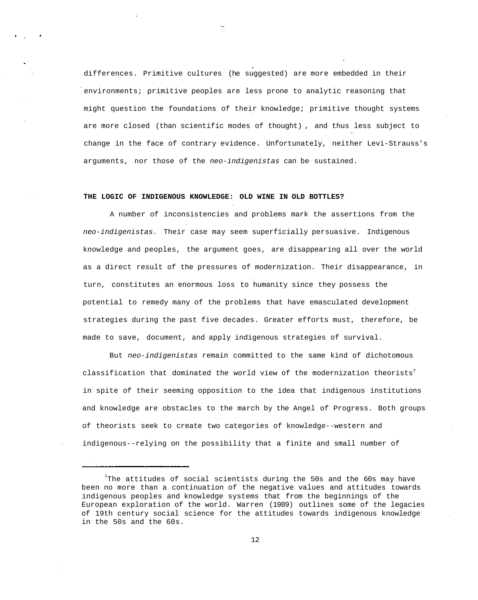differences. Primitive cultures (he suggested) are more embedded in their environments; primitive peoples are less prone to analytic reasoning that might question the foundations of their knowledge; primitive thought systems are more closed (than scientific modes of thought) , and thus less subject to change in the face of contrary evidence. Unfortunately, neither Levi-Strauss's arguments, nor those of the neo-indigenistas can be sustained.

# **THE LOGIC OF INDIGENOUS KNOWLEDGE: OLD WINE IN OLD BOTTLES?**

A number of inconsistencies and problems mark the assertions from the neo-indigenistas. Their case may seem superficially persuasive. Indigenous knowledge and peoples, the argument goes, are disappearing all over the world as a direct result of the pressures of modernization. Their disappearance, in turn, constitutes an enormous loss to humanity since they possess the potential to remedy many of the problems that have emasculated development strategies during the past five decades. Greater efforts must, therefore, be made to save, document, and apply indigenous strategies of survival.

But neo-indigenistas remain committed to the same kind of dichotomous classification that dominated the world view of the modernization theorists<sup>7</sup> in spite of their seeming opposition to the idea that indigenous institutions and knowledge are obstacles to the march by the Angel of Progress. Both groups of theorists seek to create two categories of knowledge--western and indigenous--relying on the possibility that a finite and small number of

 $7$ The attitudes of social scientists during the 50s and the 60s may have been no more than a continuation of the negative values and attitudes towards indigenous peoples and knowledge systems that from the beginnings of the European exploration of the world. Warren (1989) outlines some of the legacies of 19th century social science for the attitudes towards indigenous knowledge in the 50s and the 60s.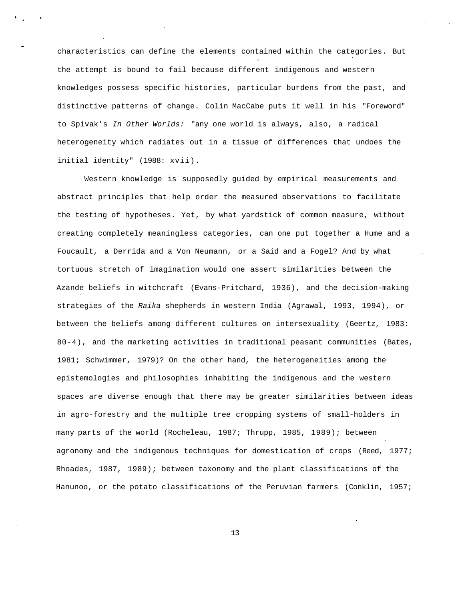characteristics can define the elements contained within the categories. But the attempt is bound to fail because different indigenous and western knowledges possess specific histories, particular burdens from the past, and distinctive patterns of change. Colin MacCabe puts it well in his "Foreword" to Spivak's In Other Worlds: "any one world is always, also, a radical heterogeneity which radiates out in a tissue of differences that undoes the initial identity" (1988: xvii).

Western knowledge is supposedly guided by empirical measurements and abstract principles that help order the measured observations to facilitate the testing of hypotheses. Yet, by what yardstick of common measure, without creating completely meaningless categories, can one put together a Hume and a Foucault, a Derrida and a Von Neumann, or a Said and a Fogel? And by what tortuous stretch of imagination would one assert similarities between the Azande beliefs in witchcraft (Evans-Pritchard, 1936), and the decision-making strategies of the Raika shepherds in western India (Agrawal, 1993, 1994), or between the beliefs among different cultures on intersexuality (Geertz, 1983: 80-4), and the marketing activities in traditional peasant communities (Bates, 1981; Schwimmer, 1979)? On the other hand, the heterogeneities among the epistemologies and philosophies inhabiting the indigenous and the western spaces are diverse enough that there may be greater similarities between ideas in agro-forestry and the multiple tree cropping systems of small-holders in many parts of the world (Rocheleau, 1987; Thrupp, 1985, 1989); between agronomy and the indigenous techniques for domestication of crops (Reed, 1977; Rhoades, 1987, 1989); between taxonomy and the plant classifications of the Hanunoo, or the potato classifications of the Peruvian farmers (Conklin, 1957;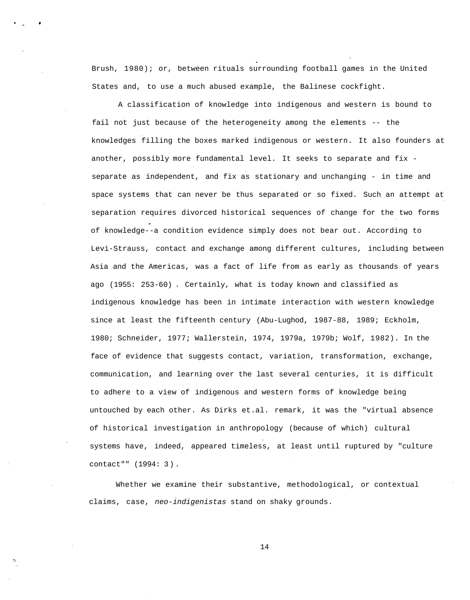Brush, 1980); or, between rituals surrounding football games in the United States and, to use a much abused example, the Balinese cockfight.

A classification of knowledge into indigenous and western is bound to fail not just because of the heterogeneity among the elements -- the knowledges filling the boxes marked indigenous or western. It also founders at another, possibly more fundamental level. It seeks to separate and fix separate as independent, and fix as stationary and unchanging - in time and space systems that can never be thus separated or so fixed. Such an attempt at separation requires divorced historical sequences of change for the two forms of knowledge--a condition evidence simply does not bear out. According to Levi-Strauss, contact and exchange among different cultures, including between Asia and the Americas, was a fact of life from as early as thousands of years ago (1955: 253-60) . Certainly, what is today known and classified as indigenous knowledge has been in intimate interaction with western knowledge since at least the fifteenth century (Abu-Lughod, 1987-88, 1989; Eckholm, 1980; Schneider, 1977; Wallerstein, 1974, 1979a, 1979b; Wolf, 1982). In the face of evidence that suggests contact, variation, transformation, exchange, communication, and learning over the last several centuries, it is difficult to adhere to a view of indigenous and western forms of knowledge being untouched by each other. As Dirks et.al. remark, it was the "virtual absence of historical investigation in anthropology (because of which) cultural systems have, indeed, appeared timeless, at least until ruptured by "culture contact"" (1994: 3).

Whether we examine their substantive, methodological, or contextual claims, case, neo-indigenistas stand on shaky grounds.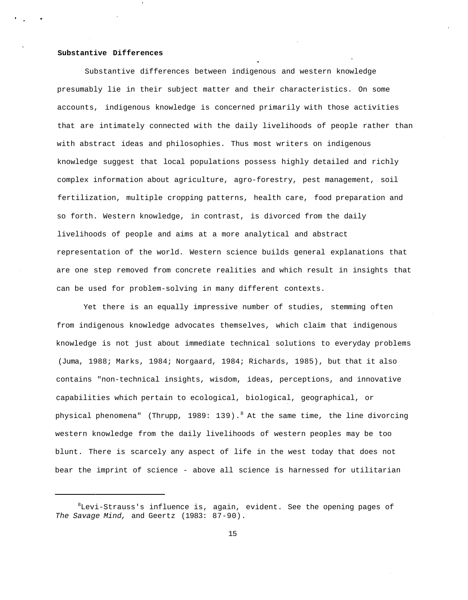#### **Substantive Differences**

Substantive differences between indigenous and western knowledge presumably lie in their subject matter and their characteristics. On some accounts, indigenous knowledge is concerned primarily with those activities that are intimately connected with the daily livelihoods of people rather than with abstract ideas and philosophies. Thus most writers on indigenous knowledge suggest that local populations possess highly detailed and richly complex information about agriculture, agro-forestry, pest management, soil fertilization, multiple cropping patterns, health care, food preparation and so forth. Western knowledge, in contrast, is divorced from the daily livelihoods of people and aims at a more analytical and abstract representation of the world. Western science builds general explanations that are one step removed from concrete realities and which result in insights that can be used for problem-solving in many different contexts.

Yet there is an equally impressive number of studies, stemming often from indigenous knowledge advocates themselves, which claim that indigenous knowledge is not just about immediate technical solutions to everyday problems (Juma, 1988; Marks, 1984; Norgaard, 1984; Richards, 1985), but that it also contains "non-technical insights, wisdom, ideas, perceptions, and innovative capabilities which pertain to ecological, biological, geographical, or physical phenomena" (Thrupp, 1989: 139). <sup>8</sup> At the same time, the line divorcing western knowledge from the daily livelihoods of western peoples may be too blunt. There is scarcely any aspect of life in the west today that does not bear the imprint of science - above all science is harnessed for utilitarian

 ${}^{8}$ Levi-Strauss's influence is, again, evident. See the opening pages of The Savage Mind, and Geertz (1983: 87-90).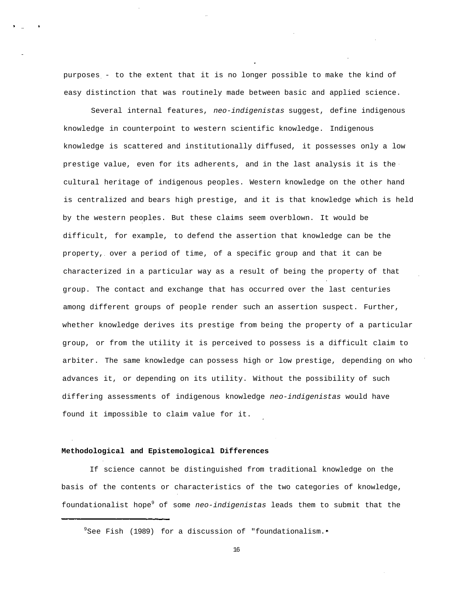purposes - to the extent that it is no longer possible to make the kind of easy distinction that was routinely made between basic and applied science.

Several internal features, neo-indigenistas suggest, define indigenous knowledge in counterpoint to western scientific knowledge. Indigenous knowledge is scattered and institutionally diffused, it possesses only a low prestige value, even for its adherents, and in the last analysis it is the cultural heritage of indigenous peoples. Western knowledge on the other hand is centralized and bears high prestige, and it is that knowledge which is held by the western peoples. But these claims seem overblown. It would be difficult, for example, to defend the assertion that knowledge can be the property, over a period of time, of a specific group and that it can be characterized in a particular way as a result of being the property of that group. The contact and exchange that has occurred over the last centuries among different groups of people render such an assertion suspect. Further, whether knowledge derives its prestige from being the property of a particular group, or from the utility it is perceived to possess is a difficult claim to arbiter. The same knowledge can possess high or low prestige, depending on who advances it, or depending on its utility. Without the possibility of such differing assessments of indigenous knowledge neo-indigenistas would have found it impossible to claim value for it.

# **Methodological and Epistemological Differences**

If science cannot be distinguished from traditional knowledge on the basis of the contents or characteristics of the two categories of knowledge, foundationalist hope<sup>9</sup> of some neo-indigenistas leads them to submit that the

<sup>&</sup>lt;sup>9</sup>See Fish (1989) for a discussion of "foundationalism."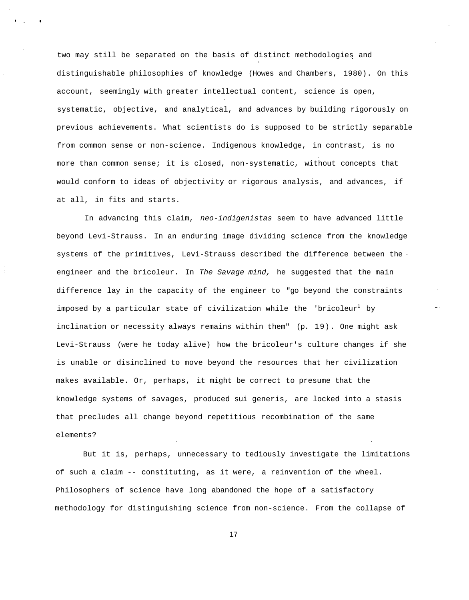two may still be separated on the basis of distinct methodologies and distinguishable philosophies of knowledge (Howes and Chambers, 1980). On this account, seemingly with greater intellectual content, science is open, systematic, objective, and analytical, and advances by building rigorously on previous achievements. What scientists do is supposed to be strictly separable from common sense or non-science. Indigenous knowledge, in contrast, is no more than common sense; it is closed, non-systematic, without concepts that would conform to ideas of objectivity or rigorous analysis, and advances, if at all, in fits and starts.

In advancing this claim, neo-indigenistas seem to have advanced little beyond Levi-Strauss. In an enduring image dividing science from the knowledge systems of the primitives, Levi-Strauss described the difference between the engineer and the bricoleur. In The Savage mind, he suggested that the main difference lay in the capacity of the engineer to "go beyond the constraints imposed by a particular state of civilization while the 'bricoleur<sup>1</sup> by inclination or necessity always remains within them" (p. 19). One might ask Levi-Strauss (were he today alive) how the bricoleur's culture changes if she is unable or disinclined to move beyond the resources that her civilization makes available. Or, perhaps, it might be correct to presume that the knowledge systems of savages, produced sui generis, are locked into a stasis that precludes all change beyond repetitious recombination of the same elements?

But it is, perhaps, unnecessary to tediously investigate the limitations of such a claim -- constituting, as it were, a reinvention of the wheel. Philosophers of science have long abandoned the hope of a satisfactory methodology for distinguishing science from non-science. From the collapse of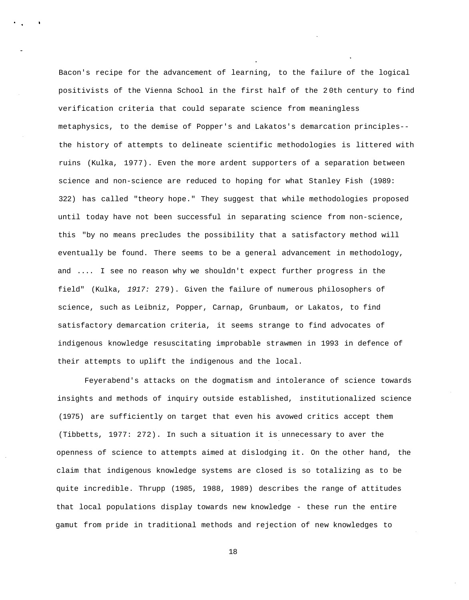Bacon's recipe for the advancement of learning, to the failure of the logical positivists of the Vienna School in the first half of the 2 0th century to find verification criteria that could separate science from meaningless metaphysics, to the demise of Popper's and Lakatos's demarcation principles- the history of attempts to delineate scientific methodologies is littered with ruins (Kulka, 1977). Even the more ardent supporters of a separation between science and non-science are reduced to hoping for what Stanley Fish (1989: 322) has called "theory hope." They suggest that while methodologies proposed until today have not been successful in separating science from non-science, this "by no means precludes the possibility that a satisfactory method will eventually be found. There seems to be a general advancement in methodology, and .... I see no reason why we shouldn't expect further progress in the field" (Kulka, 1917: 279). Given the failure of numerous philosophers of science, such as Leibniz, Popper, Carnap, Grunbaum, or Lakatos, to find satisfactory demarcation criteria, it seems strange to find advocates of indigenous knowledge resuscitating improbable strawmen in 1993 in defence of their attempts to uplift the indigenous and the local.

Feyerabend's attacks on the dogmatism and intolerance of science towards insights and methods of inquiry outside established, institutionalized science (1975) are sufficiently on target that even his avowed critics accept them (Tibbetts, 1977: 272). In such a situation it is unnecessary to aver the openness of science to attempts aimed at dislodging it. On the other hand, the claim that indigenous knowledge systems are closed is so totalizing as to be quite incredible. Thrupp (1985, 1988, 1989) describes the range of attitudes that local populations display towards new knowledge - these run the entire gamut from pride in traditional methods and rejection of new knowledges to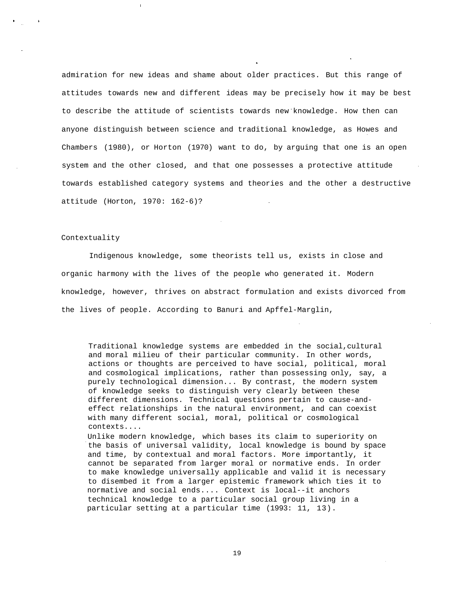admiration for new ideas and shame about older practices. But this range of attitudes towards new and different ideas may be precisely how it may be best to describe the attitude of scientists towards new knowledge. How then can anyone distinguish between science and traditional knowledge, as Howes and Chambers (1980), or Horton (1970) want to do, by arguing that one is an open system and the other closed, and that one possesses a protective attitude towards established category systems and theories and the other a destructive attitude (Horton, 1970: 162-6)?

### Contextuality

Indigenous knowledge, some theorists tell us, exists in close and organic harmony with the lives of the people who generated it. Modern knowledge, however, thrives on abstract formulation and exists divorced from the lives of people. According to Banuri and Apffel-Marglin,

Traditional knowledge systems are embedded in the social,cultural and moral milieu of their particular community. In other words, actions or thoughts are perceived to have social, political, moral and cosmological implications, rather than possessing only, say, a purely technological dimension... By contrast, the modern system of knowledge seeks to distinguish very clearly between these different dimensions. Technical questions pertain to cause-andeffect relationships in the natural environment, and can coexist with many different social, moral, political or cosmological contexts....

Unlike modern knowledge, which bases its claim to superiority on the basis of universal validity, local knowledge is bound by space and time, by contextual and moral factors. More importantly, it cannot be separated from larger moral or normative ends. In order to make knowledge universally applicable and valid it is necessary to disembed it from a larger epistemic framework which ties it to normative and social ends.... Context is local--it anchors technical knowledge to a particular social group living in a particular setting at a particular time (1993: 11, 13).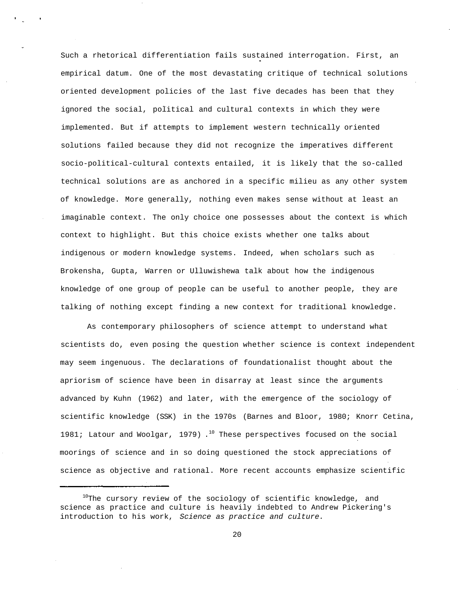Such a rhetorical differentiation fails sustained interrogation. First, an empirical datum. One of the most devastating critique of technical solutions oriented development policies of the last five decades has been that they ignored the social, political and cultural contexts in which they were implemented. But if attempts to implement western technically oriented solutions failed because they did not recognize the imperatives different socio-political-cultural contexts entailed, it is likely that the so-called technical solutions are as anchored in a specific milieu as any other system of knowledge. More generally, nothing even makes sense without at least an imaginable context. The only choice one possesses about the context is which context to highlight. But this choice exists whether one talks about indigenous or modern knowledge systems. Indeed, when scholars such as Brokensha, Gupta, Warren or Ulluwishewa talk about how the indigenous knowledge of one group of people can be useful to another people, they are talking of nothing except finding a new context for traditional knowledge.

As contemporary philosophers of science attempt to understand what scientists do, even posing the question whether science is context independent may seem ingenuous. The declarations of foundationalist thought about the apriorism of science have been in disarray at least since the arguments advanced by Kuhn (1962) and later, with the emergence of the sociology of scientific knowledge (SSK) in the 1970s (Barnes and Bloor, 1980; Knorr Cetina, 1981; Latour and Woolgar, 1979). $^{10}$  These perspectives focused on the social moorings of science and in so doing questioned the stock appreciations of science as objective and rational. More recent accounts emphasize scientific

 $10$ The cursory review of the sociology of scientific knowledge, and science as practice and culture is heavily indebted to Andrew Pickering's introduction to his work, Science as practice and culture.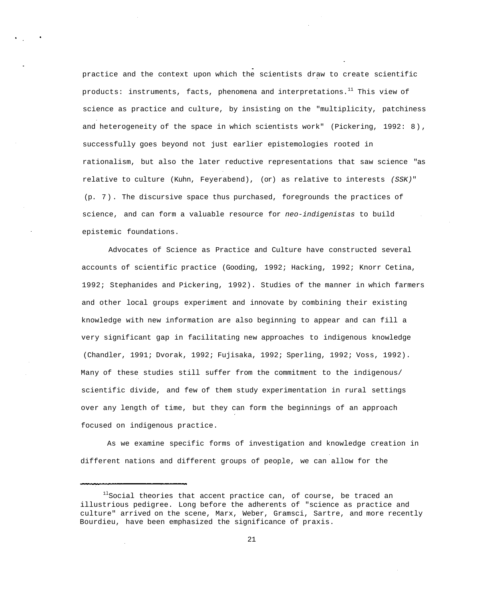practice and the context upon which the scientists draw to create scientific products: instruments, facts, phenomena and interpretations.<sup>11</sup> This view of science as practice and culture, by insisting on the "multiplicity, patchiness and heterogeneity of the space in which scientists work" (Pickering, 1992: 8), successfully goes beyond not just earlier epistemologies rooted in rationalism, but also the later reductive representations that saw science "as relative to culture (Kuhn, Feyerabend), (or) as relative to interests (SSK)" (p. 7). The discursive space thus purchased, foregrounds the practices of science, and can form a valuable resource for neo-indigenistas to build epistemic foundations.

Advocates of Science as Practice and Culture have constructed several accounts of scientific practice (Gooding, 1992; Hacking, 1992; Knorr Cetina, 1992; Stephanides and Pickering, 1992). Studies of the manner in which farmers and other local groups experiment and innovate by combining their existing knowledge with new information are also beginning to appear and can fill a very significant gap in facilitating new approaches to indigenous knowledge (Chandler, 1991; Dvorak, 1992; Fujisaka, 1992; Sperling, 1992; Voss, 1992). Many of these studies still suffer from the commitment to the indigenous/ scientific divide, and few of them study experimentation in rural settings over any length of time, but they can form the beginnings of an approach focused on indigenous practice.

As we examine specific forms of investigation and knowledge creation in different nations and different groups of people, we can allow for the

 $11$ Social theories that accent practice can, of course, be traced an illustrious pedigree. Long before the adherents of "science as practice and culture" arrived on the scene, Marx, Weber, Gramsci, Sartre, and more recently Bourdieu, have been emphasized the significance of praxis.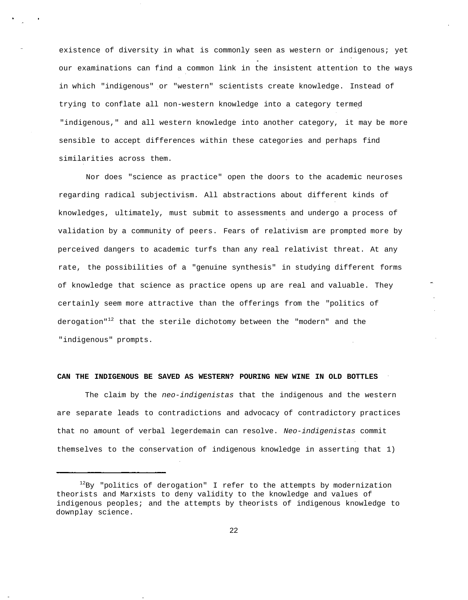existence of diversity in what is commonly seen as western or indigenous; yet our examinations can find a common link in the insistent attention to the ways in which "indigenous" or "western" scientists create knowledge. Instead of trying to conflate all non-western knowledge into a category termed "indigenous," and all western knowledge into another category, it may be more sensible to accept differences within these categories and perhaps find similarities across them.

Nor does "science as practice" open the doors to the academic neuroses regarding radical subjectivism. All abstractions about different kinds of knowledges, ultimately, must submit to assessments and undergo a process of validation by a community of peers. Fears of relativism are prompted more by perceived dangers to academic turfs than any real relativist threat. At any rate, the possibilities of a "genuine synthesis" in studying different forms of knowledge that science as practice opens up are real and valuable. They certainly seem more attractive than the offerings from the "politics of derogation"<sup>12</sup> that the sterile dichotomy between the "modern" and the "indigenous" prompts.

### **CAN THE INDIGENOUS BE SAVED AS WESTERN? POURING NEW WINE IN OLD BOTTLES**

The claim by the neo-indigenistas that the indigenous and the western are separate leads to contradictions and advocacy of contradictory practices that no amount of verbal legerdemain can resolve. Neo-indigenistas commit themselves to the conservation of indigenous knowledge in asserting that 1)

 $12By$  "politics of derogation" I refer to the attempts by modernization theorists and Marxists to deny validity to the knowledge and values of indigenous peoples; and the attempts by theorists of indigenous knowledge to downplay science.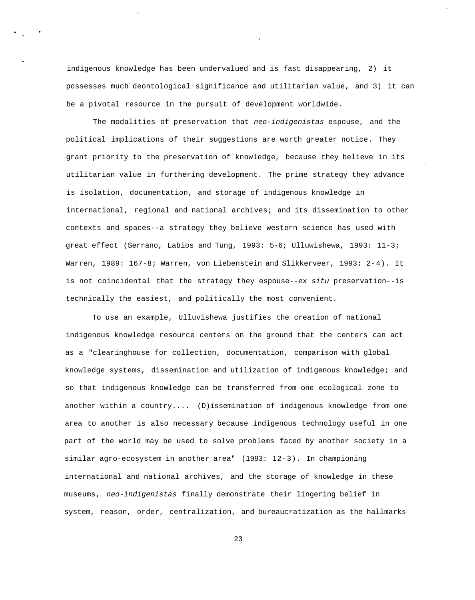indigenous knowledge has been undervalued and is fast disappearing, 2) it possesses much deontological significance and utilitarian value, and 3) it can be a pivotal resource in the pursuit of development worldwide.

The modalities of preservation that neo-indigenistas espouse, and the political implications of their suggestions are worth greater notice. They grant priority to the preservation of knowledge, because they believe in its utilitarian value in furthering development. The prime strategy they advance is isolation, documentation, and storage of indigenous knowledge in international, regional and national archives; and its dissemination to other contexts and spaces--a strategy they believe western science has used with great effect (Serrano, Labios and Tung, 1993: 5-6; Ulluwishewa, 1993: 11-3; Warren, 1989: 167-8; Warren, von Liebenstein and Slikkerveer, 1993: 2-4). It is not coincidental that the strategy they espouse--ex situ preservation--is technically the easiest, and politically the most convenient.

To use an example, Ulluvishewa justifies the creation of national indigenous knowledge resource centers on the ground that the centers can act as a "clearinghouse for collection, documentation, comparison with global knowledge systems, dissemination and utilization of indigenous knowledge; and so that indigenous knowledge can be transferred from one ecological zone to another within a country.... (D)issemination of indigenous knowledge from one area to another is also necessary because indigenous technology useful in one part of the world may be used to solve problems faced by another society in a similar agro-ecosystem in another area" (1993: 12-3). In championing international and national archives, and the storage of knowledge in these museums, neo-indigenistas finally demonstrate their lingering belief in system, reason, order, centralization, and bureaucratization as the hallmarks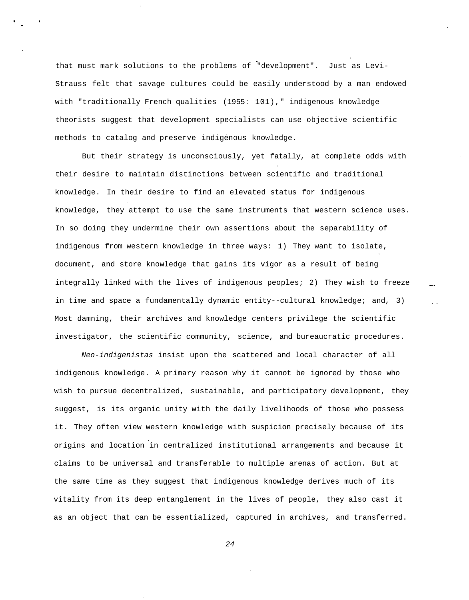that must mark solutions to the problems of "development". Just as Levi-Strauss felt that savage cultures could be easily understood by a man endowed with "traditionally French qualities (1955: 101)," indigenous knowledge theorists suggest that development specialists can use objective scientific methods to catalog and preserve indigenous knowledge.

But their strategy is unconsciously, yet fatally, at complete odds with their desire to maintain distinctions between scientific and traditional knowledge. In their desire to find an elevated status for indigenous knowledge, they attempt to use the same instruments that western science uses. In so doing they undermine their own assertions about the separability of indigenous from western knowledge in three ways: 1) They want to isolate, document, and store knowledge that gains its vigor as a result of being integrally linked with the lives of indigenous peoples; 2) They wish to freeze in time and space a fundamentally dynamic entity--cultural knowledge; and, 3) Most damning, their archives and knowledge centers privilege the scientific investigator, the scientific community, science, and bureaucratic procedures.

Neo-indigenistas insist upon the scattered and local character of all indigenous knowledge. A primary reason why it cannot be ignored by those who wish to pursue decentralized, sustainable, and participatory development, they suggest, is its organic unity with the daily livelihoods of those who possess it. They often view western knowledge with suspicion precisely because of its origins and location in centralized institutional arrangements and because it claims to be universal and transferable to multiple arenas of action. But at the same time as they suggest that indigenous knowledge derives much of its vitality from its deep entanglement in the lives of people, they also cast it as an object that can be essentialized, captured in archives, and transferred.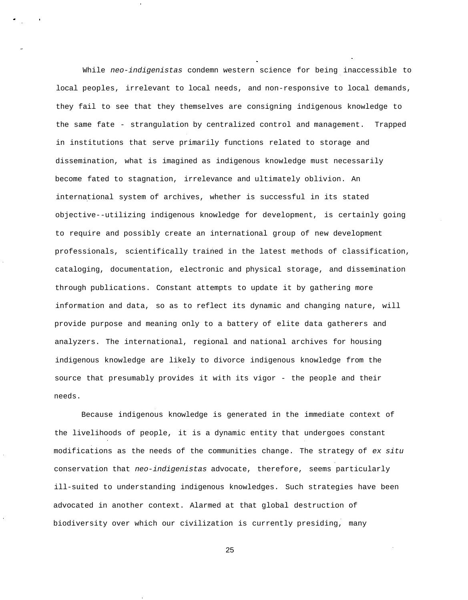While neo-indigenistas condemn western science for being inaccessible to local peoples, irrelevant to local needs, and non-responsive to local demands, they fail to see that they themselves are consigning indigenous knowledge to the same fate - strangulation by centralized control and management. Trapped in institutions that serve primarily functions related to storage and dissemination, what is imagined as indigenous knowledge must necessarily become fated to stagnation, irrelevance and ultimately oblivion. An international system of archives, whether is successful in its stated objective--utilizing indigenous knowledge for development, is certainly going to require and possibly create an international group of new development professionals, scientifically trained in the latest methods of classification, cataloging, documentation, electronic and physical storage, and dissemination through publications. Constant attempts to update it by gathering more information and data, so as to reflect its dynamic and changing nature, will provide purpose and meaning only to a battery of elite data gatherers and analyzers. The international, regional and national archives for housing indigenous knowledge are likely to divorce indigenous knowledge from the source that presumably provides it with its vigor - the people and their needs.

Because indigenous knowledge is generated in the immediate context of the livelihoods of people, it is a dynamic entity that undergoes constant modifications as the needs of the communities change. The strategy of ex situ conservation that neo-indigenistas advocate, therefore, seems particularly ill-suited to understanding indigenous knowledges. Such strategies have been advocated in another context. Alarmed at that global destruction of biodiversity over which our civilization is currently presiding, many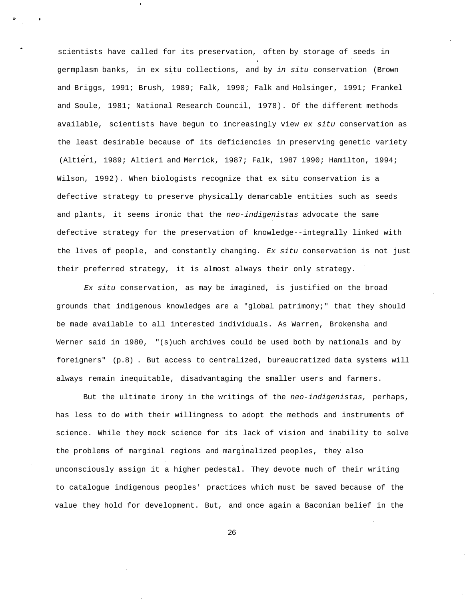scientists have called for its preservation, often by storage of seeds in germplasm banks, in ex situ collections, and by in situ conservation (Brown and Briggs, 1991; Brush, 1989; Falk, 1990; Falk and Holsinger, 1991; Frankel and Soule, 1981; National Research Council, 1978). Of the different methods available, scientists have begun to increasingly view ex situ conservation as the least desirable because of its deficiencies in preserving genetic variety (Altieri, 1989; Altieri and Merrick, 1987; Falk, 1987 1990; Hamilton, 1994; Wilson, 1992). When biologists recognize that ex situ conservation is a defective strategy to preserve physically demarcable entities such as seeds and plants, it seems ironic that the neo-indigenistas advocate the same defective strategy for the preservation of knowledge--integrally linked with the lives of people, and constantly changing. Ex situ conservation is not just their preferred strategy, it is almost always their only strategy.

Ex situ conservation, as may be imagined, is justified on the broad grounds that indigenous knowledges are a "global patrimony;" that they should be made available to all interested individuals. As Warren, Brokensha and Werner said in 1980, "(s)uch archives could be used both by nationals and by foreigners" (p.8) . But access to centralized, bureaucratized data systems will always remain inequitable, disadvantaging the smaller users and farmers.

But the ultimate irony in the writings of the neo-indigenistas, perhaps, has less to do with their willingness to adopt the methods and instruments of science. While they mock science for its lack of vision and inability to solve the problems of marginal regions and marginalized peoples, they also unconsciously assign it a higher pedestal. They devote much of their writing to catalogue indigenous peoples' practices which must be saved because of the value they hold for development. But, and once again a Baconian belief in the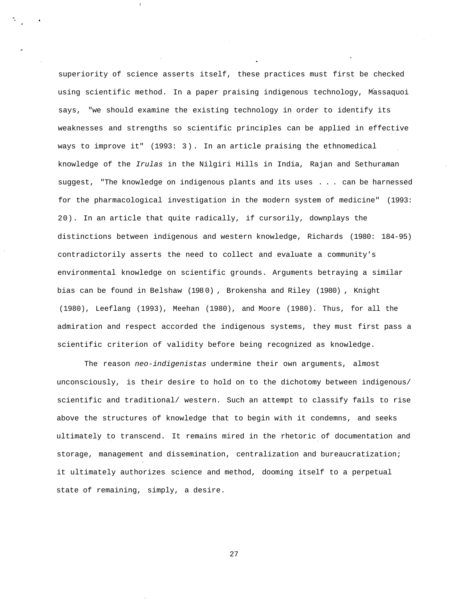superiority of science asserts itself, these practices must first be checked using scientific method. In a paper praising indigenous technology, Massaquoi says, "we should examine the existing technology in order to identify its weaknesses and strengths so scientific principles can be applied in effective ways to improve it" (1993: 3). In an article praising the ethnomedical knowledge of the Irulas in the Nilgiri Hills in India, Rajan and Sethuraman suggest, "The knowledge on indigenous plants and its uses . . . can be harnessed for the pharmacological investigation in the modern system of medicine" (1993: 20). In an article that quite radically, if cursorily, downplays the distinctions between indigenous and western knowledge, Richards (1980: 184-95) contradictorily asserts the need to collect and evaluate a community's environmental knowledge on scientific grounds. Arguments betraying a similar bias can be found in Belshaw (198 0) , Brokensha and Riley (1980) , Knight (1980), Leeflang (1993), Meehan (1980), and Moore (1980). Thus, for all the admiration and respect accorded the indigenous systems, they must first pass a scientific criterion of validity before being recognized as knowledge.

The reason neo-indigenistas undermine their own arguments, almost unconsciously, is their desire to hold on to the dichotomy between indigenous/ scientific and traditional/ western. Such an attempt to classify fails to rise above the structures of knowledge that to begin with it condemns, and seeks ultimately to transcend. It remains mired in the rhetoric of documentation and storage, management and dissemination, centralization and bureaucratization; it ultimately authorizes science and method, dooming itself to a perpetual state of remaining, simply, a desire.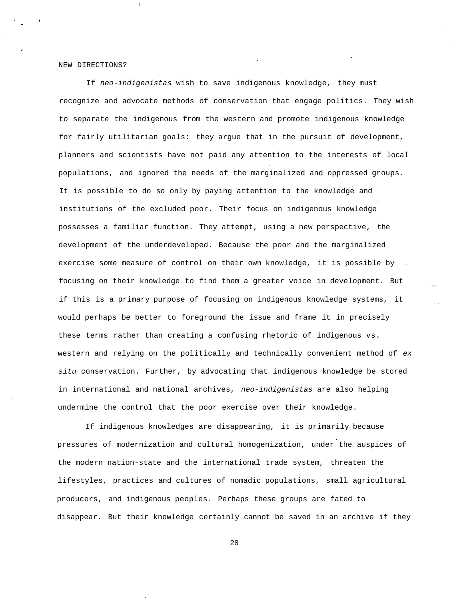#### NEW DIRECTIONS?

If neo-indigenistas wish to save indigenous knowledge, they must recognize and advocate methods of conservation that engage politics. They wish to separate the indigenous from the western and promote indigenous knowledge for fairly utilitarian goals: they argue that in the pursuit of development, planners and scientists have not paid any attention to the interests of local populations, and ignored the needs of the marginalized and oppressed groups. It is possible to do so only by paying attention to the knowledge and institutions of the excluded poor. Their focus on indigenous knowledge possesses a familiar function. They attempt, using a new perspective, the development of the underdeveloped. Because the poor and the marginalized exercise some measure of control on their own knowledge, it is possible by focusing on their knowledge to find them a greater voice in development. But if this is a primary purpose of focusing on indigenous knowledge systems, it would perhaps be better to foreground the issue and frame it in precisely these terms rather than creating a confusing rhetoric of indigenous vs. western and relying on the politically and technically convenient method of ex situ conservation. Further, by advocating that indigenous knowledge be stored in international and national archives, neo-indigenistas are also helping undermine the control that the poor exercise over their knowledge.

If indigenous knowledges are disappearing, it is primarily because pressures of modernization and cultural homogenization, under the auspices of the modern nation-state and the international trade system, threaten the lifestyles, practices and cultures of nomadic populations, small agricultural producers, and indigenous peoples. Perhaps these groups are fated to disappear. But their knowledge certainly cannot be saved in an archive if they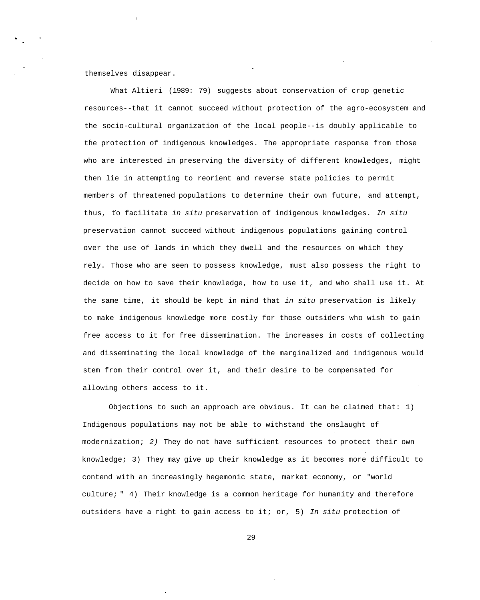themselves disappear.

What Altieri (1989: 79) suggests about conservation of crop genetic resources--that it cannot succeed without protection of the agro-ecosystem and the socio-cultural organization of the local people--is doubly applicable to the protection of indigenous knowledges. The appropriate response from those who are interested in preserving the diversity of different knowledges, might then lie in attempting to reorient and reverse state policies to permit members of threatened populations to determine their own future, and attempt, thus, to facilitate in situ preservation of indigenous knowledges. In situ preservation cannot succeed without indigenous populations gaining control over the use of lands in which they dwell and the resources on which they rely. Those who are seen to possess knowledge, must also possess the right to decide on how to save their knowledge, how to use it, and who shall use it. At the same time, it should be kept in mind that in situ preservation is likely to make indigenous knowledge more costly for those outsiders who wish to gain free access to it for free dissemination. The increases in costs of collecting and disseminating the local knowledge of the marginalized and indigenous would stem from their control over it, and their desire to be compensated for allowing others access to it.

Objections to such an approach are obvious. It can be claimed that: 1) Indigenous populations may not be able to withstand the onslaught of modernization; 2) They do not have sufficient resources to protect their own knowledge; 3) They may give up their knowledge as it becomes more difficult to contend with an increasingly hegemonic state, market economy, or "world culture; " 4) Their knowledge is a common heritage for humanity and therefore outsiders have a right to gain access to it; or, 5) In situ protection of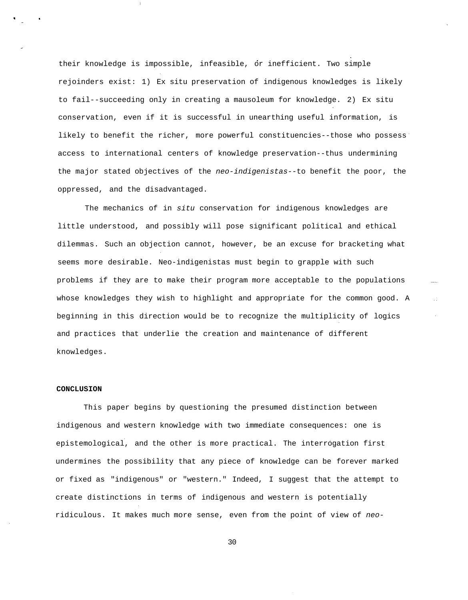their knowledge is impossible, infeasible, or inefficient. Two simple rejoinders exist: 1) Ex situ preservation of indigenous knowledges is likely to fail--succeeding only in creating a mausoleum for knowledge. 2) Ex situ conservation, even if it is successful in unearthing useful information, is likely to benefit the richer, more powerful constituencies--those who possess access to international centers of knowledge preservation--thus undermining the major stated objectives of the neo-indigenistas--to benefit the poor, the oppressed, and the disadvantaged.

The mechanics of in situ conservation for indigenous knowledges are little understood, and possibly will pose significant political and ethical dilemmas. Such an objection cannot, however, be an excuse for bracketing what seems more desirable. Neo-indigenistas must begin to grapple with such problems if they are to make their program more acceptable to the populations whose knowledges they wish to highlight and appropriate for the common good. A beginning in this direction would be to recognize the multiplicity of logics and practices that underlie the creation and maintenance of different knowledges.

 $\sim$ 

### **CONCLUSION**

This paper begins by questioning the presumed distinction between indigenous and western knowledge with two immediate consequences: one is epistemological, and the other is more practical. The interrogation first undermines the possibility that any piece of knowledge can be forever marked or fixed as "indigenous" or "western." Indeed, I suggest that the attempt to create distinctions in terms of indigenous and western is potentially ridiculous. It makes much more sense, even from the point of view of neo-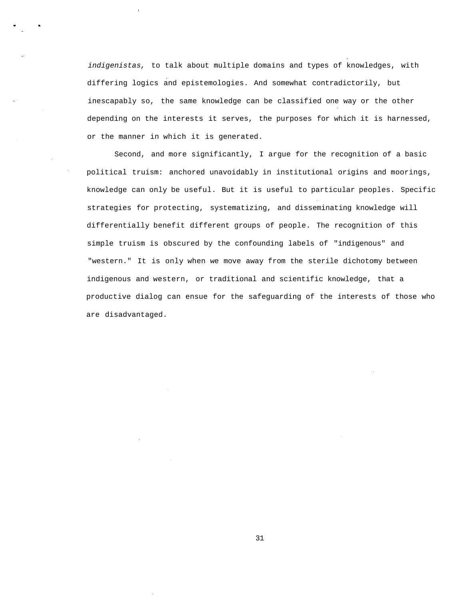indigenistas, to talk about multiple domains and types of knowledges, with differing logics and epistemologies. And somewhat contradictorily, but inescapably so, the same knowledge can be classified one way or the other depending on the interests it serves, the purposes for which it is harnessed, or the manner in which it is generated.

Second, and more significantly, I argue for the recognition of a basic political truism: anchored unavoidably in institutional origins and moorings, knowledge can only be useful. But it is useful to particular peoples. Specific strategies for protecting, systematizing, and disseminating knowledge will differentially benefit different groups of people. The recognition of this simple truism is obscured by the confounding labels of "indigenous" and "western." It is only when we move away from the sterile dichotomy between indigenous and western, or traditional and scientific knowledge, that a productive dialog can ensue for the safeguarding of the interests of those who are disadvantaged.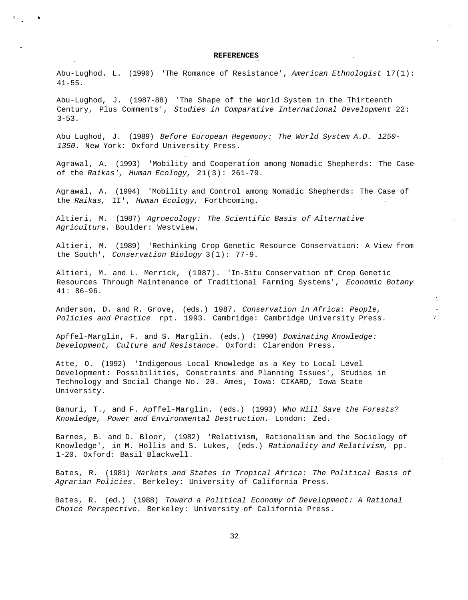#### **REFERENCES**

Abu-Lughod. L. (1990) 'The Romance of Resistance', American Ethnologist 17(1): 41-55.

Abu-Lughod, J. (1987-88) 'The Shape of the World System in the Thirteenth Century, Plus Comments', Studies in Comparative International Development 22:  $3 - 53$ .

Abu Lughod, J. (1989) Before European Hegemony: The World System A.D. 1250- 1350. New York: Oxford University Press.

Agrawal, A. (1993) 'Mobility and Cooperation among Nomadic Shepherds: The Case of the Raikas', Human Ecology, 21(3): 261-79.

Agrawal, A. (1994) 'Mobility and Control among Nomadic Shepherds: The Case of the Raikas, II', Human Ecology, Forthcoming.

Altieri, M. (1987) Agroecology: The Scientific Basis of Alternative Agriculture. Boulder: Westview.

Altieri, M. (1989) 'Rethinking Crop Genetic Resource Conservation: A View from the South', Conservation Biology 3(1): 77-9.

Altieri, M. and L. Merrick, (1987). 'In-Situ Conservation of Crop Genetic Resources Through Maintenance of Traditional Farming Systems', Economic Botany 41: 86-96.

n.

iya (

Anderson, D. and R. Grove, (eds.) 1987. Conservation in Africa: People, Policies and Practice rpt. 1993. Cambridge: Cambridge University Press.

Apffel-Marglin, F. and S. Marglin. (eds.) (1990) Dominating Knowledge: Development, Culture and Resistance. Oxford: Clarendon Press.

Atte, O. (1992) 'Indigenous Local Knowledge as a Key to Local Level Development: Possibilities, Constraints and Planning Issues', Studies in Technology and Social Change No. 20. Ames, Iowa: CIKARD, Iowa State University.

Banuri, T., and F. Apffel-Marglin. (eds.) (1993) Who Will Save the Forests? Knowledge, Power and Environmental Destruction. London: Zed.

Barnes, B. and D. Bloor, (1982) 'Relativism, Rationalism and the Sociology of Knowledge', in M. Hollis and S. Lukes, (eds.) Rationality and Relativism, pp. 1-20. Oxford: Basil Blackwell.

Bates, R. (1981) Markets and States in Tropical Africa: The Political Basis of Agrarian Policies. Berkeley: University of California Press.

Bates, R. (ed.) (1988) Toward a Political Economy of Development: A Rational Choice Perspective. Berkeley: University of California Press.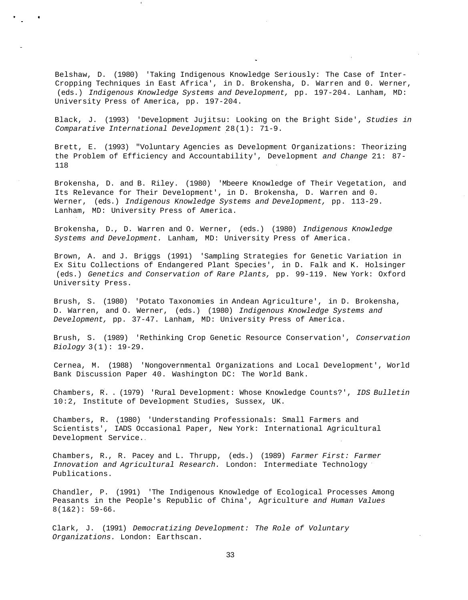Belshaw, D. (1980) 'Taking Indigenous Knowledge Seriously: The Case of Inter-Cropping Techniques in East Africa', in D. Brokensha, D. Warren and 0. Werner, (eds.) Indigenous Knowledge Systems and Development, pp. 197-204. Lanham, MD: University Press of America, pp. 197-204.

Black, J. (1993) 'Development Jujitsu: Looking on the Bright Side', Studies in Comparative International Development 28(1): 71-9.

Brett, E. (1993) "Voluntary Agencies as Development Organizations: Theorizing the Problem of Efficiency and Accountability', Development and Change 21: 87- 118

Brokensha, D. and B. Riley. (1980) 'Mbeere Knowledge of Their Vegetation, and Its Relevance for Their Development', in D. Brokensha, D. Warren and 0. Werner, (eds.) Indigenous Knowledge Systems and Development, pp. 113-29. Lanham, MD: University Press of America.

Brokensha, D., D. Warren and O. Werner, (eds.) (1980) Indigenous Knowledge Systems and Development. Lanham, MD: University Press of America.

Brown, A. and J. Briggs (1991) 'Sampling Strategies for Genetic Variation in Ex Situ Collections of Endangered Plant Species', in D. Falk and K. Holsinger (eds.) Genetics and Conservation of Rare Plants, pp. 99-119. New York: Oxford University Press.

Brush, S. (1980) 'Potato Taxonomies in Andean Agriculture', in D. Brokensha, D. Warren, and O. Werner, (eds.) (1980) Indigenous Knowledge Systems and Development, pp. 37-47. Lanham, MD: University Press of America.

Brush, S. (1989) 'Rethinking Crop Genetic Resource Conservation', Conservation Biology 3(1): 19-29.

Cernea, M. (1988) 'Nongovernmental Organizations and Local Development', World Bank Discussion Paper 40. Washington DC: The World Bank.

Chambers, R. . (1979) 'Rural Development: Whose Knowledge Counts?', IDS Bulletin 10:2, Institute of Development Studies, Sussex, UK.

Chambers, R. (1980) 'Understanding Professionals: Small Farmers and Scientists', IADS Occasional Paper, New York: International Agricultural Development Service.

Chambers, R., R. Pacey and L. Thrupp, (eds.) (1989) Farmer First: Farmer Innovation and Agricultural Research. London: Intermediate Technology Publications.

Chandler, P. (1991) 'The Indigenous Knowledge of Ecological Processes Among Peasants in the People's Republic of China', Agriculture and Human Values  $8(1\&2): 59-66.$ 

Clark, J. (1991) Democratizing Development: The Role of Voluntary Organizations. London: Earthscan.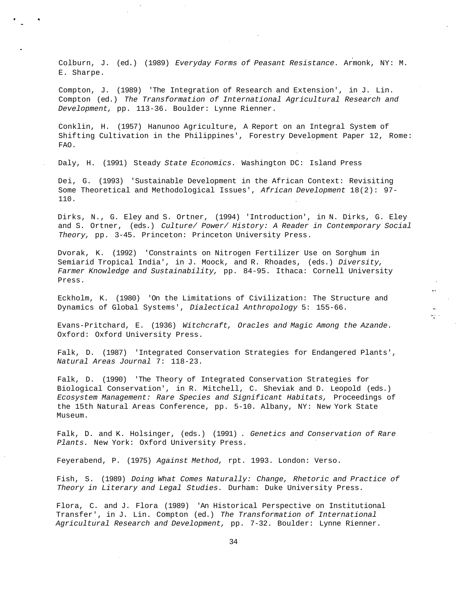Colburn, J. (ed.) (1989) Everyday Forms of Peasant Resistance. Armonk, NY: M. E. Sharpe.

Compton, J. (1989) 'The Integration of Research and Extension', in J. Lin. Compton (ed.) The Transformation of International Agricultural Research and Development, pp. 113-36. Boulder: Lynne Rienner.

Conklin, H. (1957) Hanunoo Agriculture, A Report on an Integral System of Shifting Cultivation in the Philippines', Forestry Development Paper 12, Rome: FAO.

Daly, H. (1991) Steady State Economics. Washington DC: Island Press

Dei, G. (1993) 'Sustainable Development in the African Context: Revisiting Some Theoretical and Methodological Issues', African Development 18(2): 97- 110.

Dirks, N., G. Eley and S. Ortner, (1994) 'Introduction', in N. Dirks, G. Eley and S. Ortner, (eds.) Culture/ Power/ History: A Reader in Contemporary Social Theory, pp. 3-45. Princeton: Princeton University Press.

Dvorak, K. (1992) 'Constraints on Nitrogen Fertilizer Use on Sorghum in Semiarid Tropical India', in J. Moock, and R. Rhoades, (eds.) Diversity, Farmer Knowledge and Sustainability, pp. 84-95. Ithaca: Cornell University Press.

Eckholm, K. (1980) 'On the Limitations of Civilization: The Structure and Dynamics of Global Systems', Dialectical Anthropology 5: 155-66.

Evans-Pritchard, E. (1936) Witchcraft, Oracles and Magic Among the Azande. Oxford: Oxford University Press.

 $\pi_{\mathcal{L}}^{\rm new}$ 

Falk, D. (1987) 'Integrated Conservation Strategies for Endangered Plants', Natural Areas Journal 7: 118-23.

Falk, D. (1990) 'The Theory of Integrated Conservation Strategies for Biological Conservation', in R. Mitchell, C. Sheviak and D. Leopold (eds.) Ecosystem Management: Rare Species and Significant Habitats, Proceedings of the 15th Natural Areas Conference, pp. 5-10. Albany, NY: New York State Museum.

Falk, D. and K. Holsinger, (eds.) (1991) . Genetics and Conservation of Rare Plants. New York: Oxford University Press.

Feyerabend, P. (1975) Against Method, rpt. 1993. London: Verso.

Fish, S. (1989) Doing What Comes Naturally: Change, Rhetoric and Practice of Theory in Literary and Legal Studies. Durham: Duke University Press.

Flora, C. and J. Flora (1989) 'An Historical Perspective on Institutional Transfer', in J. Lin. Compton (ed.) The Transformation of International Agricultural Research and Development, pp. 7-32. Boulder: Lynne Rienner.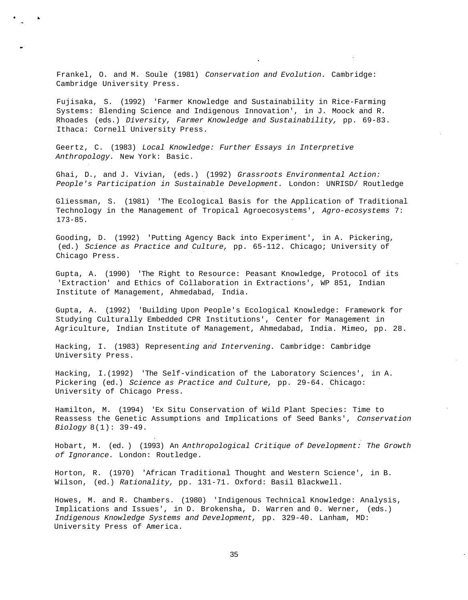Frankel, O. and M. Soule (1981) Conservation and Evolution. Cambridge: Cambridge University Press.

Fujisaka, S. (1992) 'Farmer Knowledge and Sustainability in Rice-Farming Systems: Blending Science and Indigenous Innovation', in J. Moock and R. Rhoades (eds.) Diversity, Farmer Knowledge and Sustainability, pp. 69-83. Ithaca: Cornell University Press.

Geertz, C. (1983) Local Knowledge: Further Essays in Interpretive Anthropology. New York: Basic.

Ghai, D., and J. Vivian, (eds.) (1992) Grassroots Environmental Action: People's Participation in Sustainable Development. London: UNRISD/ Routledge

Gliessman, S. (1981) 'The Ecological Basis for the Application of Traditional Technology in the Management of Tropical Agroecosystems', Agro-ecosystems 7: 173-85.

Gooding, D. (1992) 'Putting Agency Back into Experiment', in A. Pickering, (ed.) Science as Practice and Culture, pp. 65-112. Chicago; University of Chicago Press.

Gupta, A. (1990) 'The Right to Resource: Peasant Knowledge, Protocol of its 'Extraction' and Ethics of Collaboration in Extractions', WP 851, Indian Institute of Management, Ahmedabad, India.

Gupta, A. (1992) 'Building Upon People's Ecological Knowledge: Framework for Studying Culturally Embedded CPR Institutions', Center for Management in Agriculture, Indian Institute of Management, Ahmedabad, India. Mimeo, pp. 28.

Hacking, I. (1983) Representing and Intervening. Cambridge: Cambridge University Press.

Hacking, I.(1992) 'The Self-vindication of the Laboratory Sciences', in A. Pickering (ed.) Science as Practice and Culture, pp. 29-64. Chicago: University of Chicago Press.

Hamilton, M. (1994) 'Ex Situ Conservation of Wild Plant Species: Time to Reassess the Genetic Assumptions and Implications of Seed Banks', Conservation Biology 8(1): 39-49.

Hobart, M. (ed. ) (1993) An Anthropological Critique of Development: The Growth of Ignorance. London: Routledge.

Horton, R. (1970) 'African Traditional Thought and Western Science', in B. Wilson, (ed.) Rationality, pp. 131-71. Oxford: Basil Blackwell.

Howes, M. and R. Chambers. (1980) 'Indigenous Technical Knowledge: Analysis, Implications and Issues', in D. Brokensha, D. Warren and 0. Werner, (eds.) Indigenous Knowledge Systems and Development, pp. 329-40. Lanham, MD: University Press of America.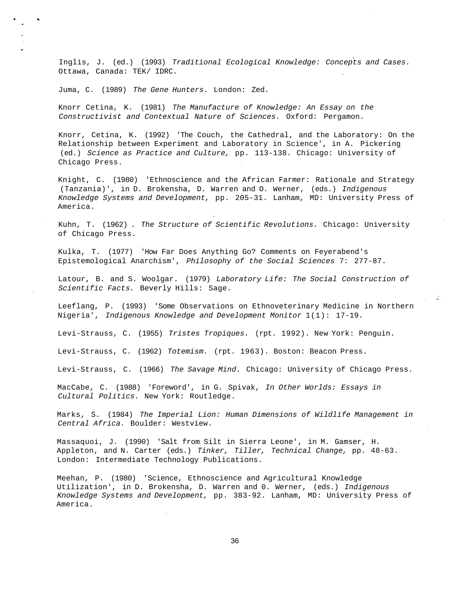Inglis, J. (ed.) (1993) Traditional Ecological Knowledge: Concepts and Cases. Ottawa, Canada: TEK/ IDRC.

Juma, C. (1989) The Gene Hunters. London: Zed.

Knorr Cetina, K. (1981) The Manufacture of Knowledge: An Essay on the Constructivist and Contextual Nature of Sciences. Oxford: Pergamon.

Knorr, Cetina, K. (1992) 'The Couch, the Cathedral, and the Laboratory: On the Relationship between Experiment and Laboratory in Science', in A. Pickering (ed.) Science as Practice and Culture, pp. 113-138. Chicago: University of Chicago Press.

Knight, C. (1980) 'Ethnoscience and the African Farmer: Rationale and Strategy (Tanzania)', in D. Brokensha, D. Warren and O. Werner, (eds.) Indigenous Knowledge Systems and Development, pp. 205-31. Lanham, MD: University Press of America.

Kuhn, T. (1962) . The Structure of Scientific Revolutions. Chicago: University of Chicago Press.

Kulka, T. (1977) 'How Far Does Anything Go? Comments on Feyerabend's Epistemological Anarchism', Philosophy of the Social Sciences 7: 277-87.

Latour, B. and S. Woolgar. (1979) Laboratory Life: The Social Construction of Scientific Facts. Beverly Hills: Sage.

Leeflang, P. (1993) 'Some Observations on Ethnoveterinary Medicine in Northern Nigeria', Indigenous Knowledge and Development Monitor 1(1): 17-19.

 $\omega \sim 25$ 

Levi-Strauss, C. (1955) Tristes Tropiques. (rpt. 1992). New York: Penguin.

Levi-Strauss, C. (1962) Totemism. (rpt. 1963). Boston: Beacon Press.

Levi-Strauss, C. (1966) The Savage Mind. Chicago: University of Chicago Press.

MacCabe, C. (1988) 'Foreword', in G. Spivak, In Other Worlds: Essays in Cultural Politics. New York: Routledge.

Marks, S. (1984) The Imperial Lion: Human Dimensions of Wildlife Management in Central Africa. Boulder: Westview.

Massaquoi, J. (1990) 'Salt from Silt in Sierra Leone', in M. Gamser, H. Appleton, and N. Carter (eds.) Tinker, Tiller, Technical Change, pp. 48-63. London: Intermediate Technology Publications.

Meehan, P. (1980) 'Science, Ethnoscience and Agricultural Knowledge Utilization', in D. Brokensha, D. Warren and 0. Werner, (eds.) Indigenous Knowledge Systems and Development, pp. 383-92. Lanham, MD: University Press of America.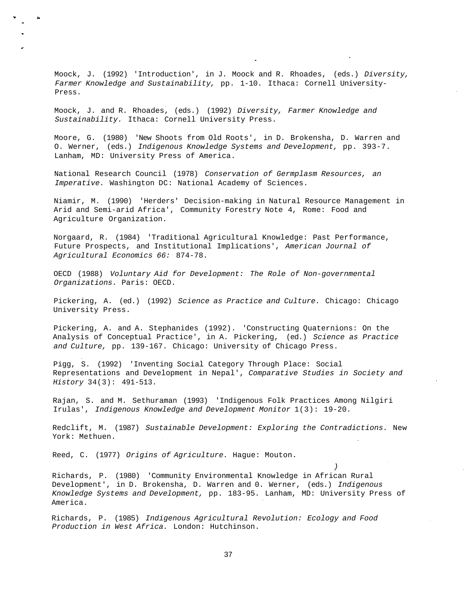Moock, J. (1992) 'Introduction', in J. Moock and R. Rhoades, (eds.) Diversity, Farmer Knowledge and Sustainability, pp. 1-10. Ithaca: Cornell University-Press.

Moock, J. and R. Rhoades, (eds.) (1992) Diversity, Farmer Knowledge and Sustainability. Ithaca: Cornell University Press.

Moore, G. (1980) 'New Shoots from Old Roots', in D. Brokensha, D. Warren and O. Werner, (eds.) Indigenous Knowledge Systems and Development, pp. 393-7. Lanham, MD: University Press of America.

National Research Council (1978) Conservation of Germplasm Resources, an Imperative. Washington DC: National Academy of Sciences.

Niamir, M. (1990) 'Herders' Decision-making in Natural Resource Management in Arid and Semi-arid Africa', Community Forestry Note 4, Rome: Food and Agriculture Organization.

Norgaard, R. (1984) 'Traditional Agricultural Knowledge: Past Performance, Future Prospects, and Institutional Implications', American Journal of Agricultural Economics 66: 874-78.

OECD (1988) Voluntary Aid for Development: The Role of Non-governmental Organizations. Paris: OECD.

Pickering, A. (ed.) (1992) Science as Practice and Culture. Chicago: Chicago University Press.

Pickering, A. and A. Stephanides (1992). 'Constructing Quaternions: On the Analysis of Conceptual Practice', in A. Pickering, (ed.) Science as Practice and Culture, pp. 139-167. Chicago: University of Chicago Press.

Pigg, S. (1992) 'Inventing Social Category Through Place: Social Representations and Development in Nepal', Comparative Studies in Society and History 34(3): 491-513.

Rajan, S. and M. Sethuraman (1993) 'Indigenous Folk Practices Among Nilgiri Irulas', Indigenous Knowledge and Development Monitor 1(3): 19-20.

Redclift, M. (1987) Sustainable Development: Exploring the Contradictions. New York: Methuen.

Reed, C. (1977) Origins of Agriculture. Hague: Mouton.

Richards, P. (1980) 'Community Environmental Knowledge in African Rural Development', in D. Brokensha, D. Warren and 0. Werner, (eds.) Indigenous Knowledge Systems and Development, pp. 183-95. Lanham, MD: University Press of America.

)

Richards, P. (1985) Indigenous Agricultural Revolution: Ecology and Food Production in West Africa. London: Hutchinson.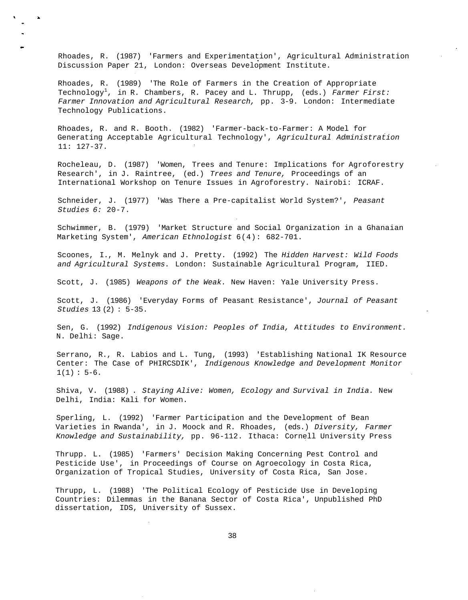Rhoades, R. (1987) 'Farmers and Experimentation', Agricultural Administration Discussion Paper 21, London: Overseas Development Institute.

Rhoades, R. (1989) 'The Role of Farmers in the Creation of Appropriate Technology<sup>1</sup>, in R. Chambers, R. Pacey and L. Thrupp, (eds.) Farmer First: Farmer Innovation and Agricultural Research, pp. 3-9. London: Intermediate Technology Publications.

Rhoades, R. and R. Booth. (1982) 'Farmer-back-to-Farmer: A Model for Generating Acceptable Agricultural Technology', Agricultural Administration 11: 127-37.

Rocheleau, D. (1987) 'Women, Trees and Tenure: Implications for Agroforestry Research', in J. Raintree, (ed.) Trees and Tenure, Proceedings of an International Workshop on Tenure Issues in Agroforestry. Nairobi: ICRAF.

Schneider, J. (1977) 'Was There a Pre-capitalist World System?', Peasant Studies 6: 20-7.

Schwimmer, B. (1979) 'Market Structure and Social Organization in a Ghanaian Marketing System', American Ethnologist 6(4): 682-701.

Scoones, I., M. Melnyk and J. Pretty. (1992) The Hidden Harvest: Wild Foods and Agricultural Systems. London: Sustainable Agricultural Program, IIED.

Scott, J. (1985) Weapons of the Weak. New Haven: Yale University Press.

Scott, J. (1986) 'Everyday Forms of Peasant Resistance', Journal of Peasant Studies 13 (2) : 5-35.

Sen, G. (1992) Indigenous Vision: Peoples of India, Attitudes to Environment. N. Delhi: Sage.

Serrano, R., R. Labios and L. Tung, (1993) 'Establishing National IK Resource Center: The Case of PHIRCSDIK', Indigenous Knowledge and Development Monitor  $1(1): 5-6.$ 

Shiva, V. (1988) . Staying Alive: Women, Ecology and Survival in India. New Delhi, India: Kali for Women.

Sperling, L. (1992) 'Farmer Participation and the Development of Bean Varieties in Rwanda', in J. Moock and R. Rhoades, (eds.) Diversity, Farmer Knowledge and Sustainability, pp. 96-112. Ithaca: Cornell University Press

Thrupp. L. (1985) 'Farmers' Decision Making Concerning Pest Control and Pesticide Use', in Proceedings of Course on Agroecology in Costa Rica, Organization of Tropical Studies, University of Costa Rica, San Jose.

Thrupp, L. (1988) 'The Political Ecology of Pesticide Use in Developing Countries: Dilemmas in the Banana Sector of Costa Rica', Unpublished PhD dissertation, IDS, University of Sussex.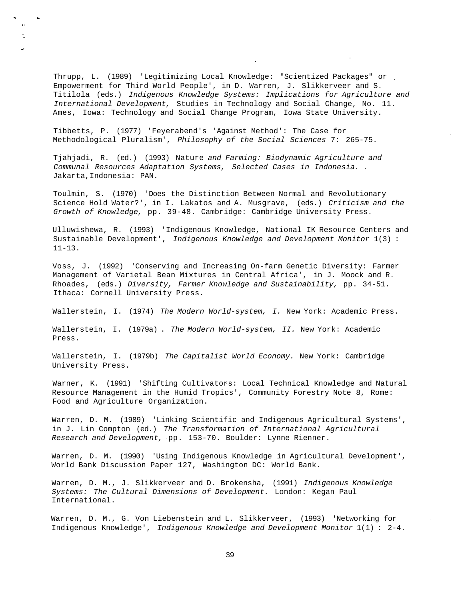Thrupp, L. (1989) 'Legitimizing Local Knowledge: "Scientized Packages" or Empowerment for Third World People', in D. Warren, J. Slikkerveer and S. Titilola (eds.) Indigenous Knowledge Systems: Implications for Agriculture and International Development, Studies in Technology and Social Change, No. 11. Ames, Iowa: Technology and Social Change Program, Iowa State University.

Tibbetts, P. (1977) 'Feyerabend's 'Against Method': The Case for Methodological Pluralism', Philosophy of the Social Sciences 7: 265-75.

Tjahjadi, R. (ed.) (1993) Nature and Farming: Biodynamic Agriculture and Communal Resources Adaptation Systems, Selected Cases in Indonesia. Jakarta,Indonesia: PAN.

Toulmin, S. (1970) 'Does the Distinction Between Normal and Revolutionary Science Hold Water?', in I. Lakatos and A. Musgrave, (eds.) Criticism and the Growth of Knowledge, pp. 39-48. Cambridge: Cambridge University Press.

Ulluwishewa, R. (1993) 'Indigenous Knowledge, National IK Resource Centers and Sustainable Development', Indigenous Knowledge and Development Monitor 1(3) : 11-13.

Voss, J. (1992) 'Conserving and Increasing On-farm Genetic Diversity: Farmer Management of Varietal Bean Mixtures in Central Africa', in J. Moock and R. Rhoades, (eds.) Diversity, Farmer Knowledge and Sustainability, pp. 34-51. Ithaca: Cornell University Press.

Wallerstein, I. (1974) The Modern World-system, I. New York: Academic Press.

Wallerstein, I. (1979a) . The Modern World-system, II. New York: Academic Press.

Wallerstein, I. (1979b) The Capitalist World Economy. New York: Cambridge University Press.

Warner, K. (1991) 'Shifting Cultivators: Local Technical Knowledge and Natural Resource Management in the Humid Tropics', Community Forestry Note 8, Rome: Food and Agriculture Organization.

Warren, D. M. (1989) 'Linking Scientific and Indigenous Agricultural Systems', in J. Lin Compton (ed.) The Transformation of International Agricultural Research and Development, pp. 153-70. Boulder: Lynne Rienner.

Warren, D. M. (1990) 'Using Indigenous Knowledge in Agricultural Development', World Bank Discussion Paper 127, Washington DC: World Bank.

Warren, D. M., J. Slikkerveer and D. Brokensha, (1991) Indigenous Knowledge Systems: The Cultural Dimensions of Development. London: Kegan Paul International.

Warren, D. M., G. Von Liebenstein and L. Slikkerveer, (1993) 'Networking for Indigenous Knowledge', Indigenous Knowledge and Development Monitor 1(1) : 2-4.